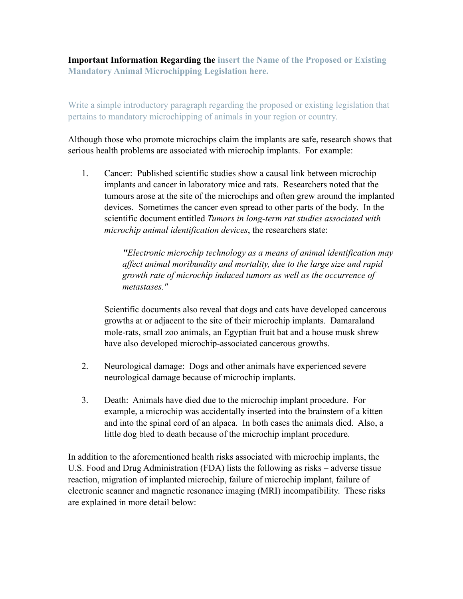**Important Information Regarding the insert the Name of the Proposed or Existing Mandatory Animal Microchipping Legislation here.**

Write a simple introductory paragraph regarding the proposed or existing legislation that pertains to mandatory microchipping of animals in your region or country.

Although those who promote microchips claim the implants are safe, research shows that serious health problems are associated with microchip implants. For example:

1. Cancer: Published scientific studies show a causal link between microchip implants and cancer in laboratory mice and rats. Researchers noted that the tumours arose at the site of the microchips and often grew around the implanted devices. Sometimes the cancer even spread to other parts of the body. In the scientific document entitled *Tumors in long-term rat studies associated with microchip animal identification devices*, the researchers state:

> *"Electronic microchip technology as a means of animal identification may affect animal moribundity and mortality, due to the large size and rapid growth rate of microchip induced tumors as well as the occurrence of metastases."*

Scientific documents also reveal that dogs and cats have developed cancerous growths at or adjacent to the site of their microchip implants. Damaraland mole-rats, small zoo animals, an Egyptian fruit bat and a house musk shrew have also developed microchip-associated cancerous growths.

- 2. Neurological damage: Dogs and other animals have experienced severe neurological damage because of microchip implants.
- 3. Death: Animals have died due to the microchip implant procedure. For example, a microchip was accidentally inserted into the brainstem of a kitten and into the spinal cord of an alpaca. In both cases the animals died. Also, a little dog bled to death because of the microchip implant procedure.

In addition to the aforementioned health risks associated with microchip implants, the U.S. Food and Drug Administration (FDA) lists the following as risks – adverse tissue reaction, migration of implanted microchip, failure of microchip implant, failure of electronic scanner and magnetic resonance imaging (MRI) incompatibility. These risks are explained in more detail below: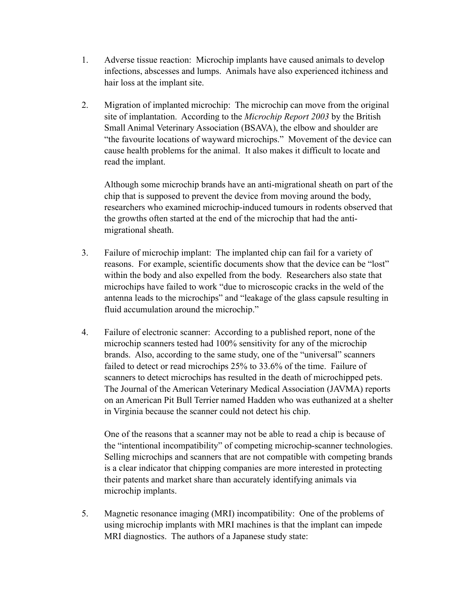- 1. Adverse tissue reaction: Microchip implants have caused animals to develop infections, abscesses and lumps. Animals have also experienced itchiness and hair loss at the implant site.
- 2. Migration of implanted microchip: The microchip can move from the original site of implantation. According to the *Microchip Report 2003* by the British Small Animal Veterinary Association (BSAVA), the elbow and shoulder are "the favourite locations of wayward microchips." Movement of the device can cause health problems for the animal. It also makes it difficult to locate and read the implant.

Although some microchip brands have an anti-migrational sheath on part of the chip that is supposed to prevent the device from moving around the body, researchers who examined microchip-induced tumours in rodents observed that the growths often started at the end of the microchip that had the antimigrational sheath.

- 3. Failure of microchip implant: The implanted chip can fail for a variety of reasons. For example, scientific documents show that the device can be "lost" within the body and also expelled from the body. Researchers also state that microchips have failed to work "due to microscopic cracks in the weld of the antenna leads to the microchips" and "leakage of the glass capsule resulting in fluid accumulation around the microchip."
- 4. Failure of electronic scanner: According to a published report, none of the microchip scanners tested had 100% sensitivity for any of the microchip brands. Also, according to the same study, one of the "universal" scanners failed to detect or read microchips 25% to 33.6% of the time. Failure of scanners to detect microchips has resulted in the death of microchipped pets. The Journal of the American Veterinary Medical Association (JAVMA) reports on an American Pit Bull Terrier named Hadden who was euthanized at a shelter in Virginia because the scanner could not detect his chip.

One of the reasons that a scanner may not be able to read a chip is because of the "intentional incompatibility" of competing microchip-scanner technologies. Selling microchips and scanners that are not compatible with competing brands is a clear indicator that chipping companies are more interested in protecting their patents and market share than accurately identifying animals via microchip implants.

5. Magnetic resonance imaging (MRI) incompatibility: One of the problems of using microchip implants with MRI machines is that the implant can impede MRI diagnostics. The authors of a Japanese study state: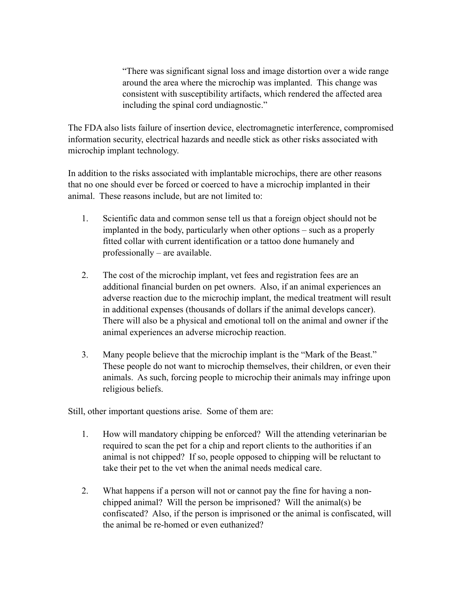"There was significant signal loss and image distortion over a wide range around the area where the microchip was implanted. This change was consistent with susceptibility artifacts, which rendered the affected area including the spinal cord undiagnostic."

The FDA also lists failure of insertion device, electromagnetic interference, compromised information security, electrical hazards and needle stick as other risks associated with microchip implant technology.

In addition to the risks associated with implantable microchips, there are other reasons that no one should ever be forced or coerced to have a microchip implanted in their animal. These reasons include, but are not limited to:

- 1. Scientific data and common sense tell us that a foreign object should not be implanted in the body, particularly when other options – such as a properly fitted collar with current identification or a tattoo done humanely and professionally – are available.
- 2. The cost of the microchip implant, vet fees and registration fees are an additional financial burden on pet owners. Also, if an animal experiences an adverse reaction due to the microchip implant, the medical treatment will result in additional expenses (thousands of dollars if the animal develops cancer). There will also be a physical and emotional toll on the animal and owner if the animal experiences an adverse microchip reaction.
- 3. Many people believe that the microchip implant is the "Mark of the Beast." These people do not want to microchip themselves, their children, or even their animals. As such, forcing people to microchip their animals may infringe upon religious beliefs.

Still, other important questions arise. Some of them are:

- 1. How will mandatory chipping be enforced? Will the attending veterinarian be required to scan the pet for a chip and report clients to the authorities if an animal is not chipped? If so, people opposed to chipping will be reluctant to take their pet to the vet when the animal needs medical care.
- 2. What happens if a person will not or cannot pay the fine for having a nonchipped animal? Will the person be imprisoned? Will the animal(s) be confiscated? Also, if the person is imprisoned or the animal is confiscated, will the animal be re-homed or even euthanized?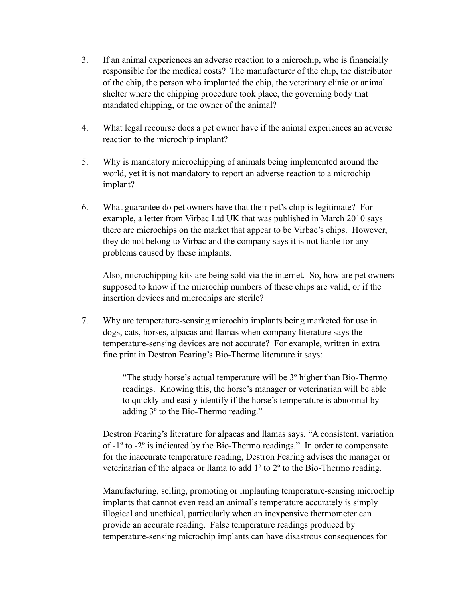- 3. If an animal experiences an adverse reaction to a microchip, who is financially responsible for the medical costs? The manufacturer of the chip, the distributor of the chip, the person who implanted the chip, the veterinary clinic or animal shelter where the chipping procedure took place, the governing body that mandated chipping, or the owner of the animal?
- 4. What legal recourse does a pet owner have if the animal experiences an adverse reaction to the microchip implant?
- 5. Why is mandatory microchipping of animals being implemented around the world, yet it is not mandatory to report an adverse reaction to a microchip implant?
- 6. What guarantee do pet owners have that their pet's chip is legitimate? For example, a letter from Virbac Ltd UK that was published in March 2010 says there are microchips on the market that appear to be Virbac's chips. However, they do not belong to Virbac and the company says it is not liable for any problems caused by these implants.

Also, microchipping kits are being sold via the internet. So, how are pet owners supposed to know if the microchip numbers of these chips are valid, or if the insertion devices and microchips are sterile?

7. Why are temperature-sensing microchip implants being marketed for use in dogs, cats, horses, alpacas and llamas when company literature says the temperature-sensing devices are not accurate? For example, written in extra fine print in Destron Fearing's Bio-Thermo literature it says:

> "The study horse's actual temperature will be 3º higher than Bio-Thermo readings. Knowing this, the horse's manager or veterinarian will be able to quickly and easily identify if the horse's temperature is abnormal by adding 3º to the Bio-Thermo reading."

Destron Fearing's literature for alpacas and llamas says, "A consistent, variation of -1º to -2º is indicated by the Bio-Thermo readings." In order to compensate for the inaccurate temperature reading, Destron Fearing advises the manager or veterinarian of the alpaca or llama to add 1º to 2º to the Bio-Thermo reading.

Manufacturing, selling, promoting or implanting temperature-sensing microchip implants that cannot even read an animal's temperature accurately is simply illogical and unethical, particularly when an inexpensive thermometer can provide an accurate reading. False temperature readings produced by temperature-sensing microchip implants can have disastrous consequences for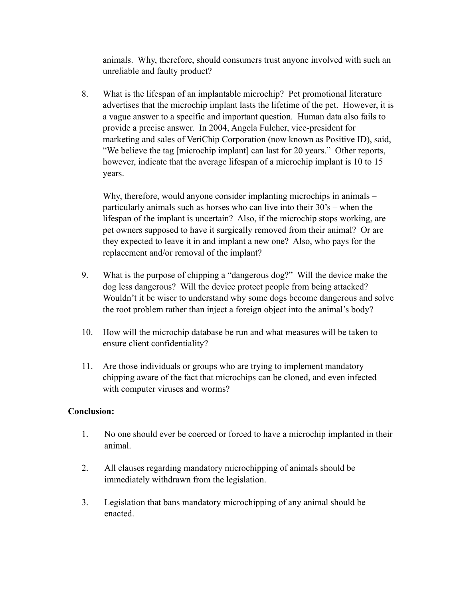animals. Why, therefore, should consumers trust anyone involved with such an unreliable and faulty product?

8. What is the lifespan of an implantable microchip? Pet promotional literature advertises that the microchip implant lasts the lifetime of the pet. However, it is a vague answer to a specific and important question. Human data also fails to provide a precise answer. In 2004, Angela Fulcher, vice-president for marketing and sales of VeriChip Corporation (now known as Positive ID), said, "We believe the tag [microchip implant] can last for 20 years." Other reports, however, indicate that the average lifespan of a microchip implant is 10 to 15 years.

Why, therefore, would anyone consider implanting microchips in animals – particularly animals such as horses who can live into their 30's – when the lifespan of the implant is uncertain? Also, if the microchip stops working, are pet owners supposed to have it surgically removed from their animal? Or are they expected to leave it in and implant a new one? Also, who pays for the replacement and/or removal of the implant?

- 9. What is the purpose of chipping a "dangerous dog?" Will the device make the dog less dangerous? Will the device protect people from being attacked? Wouldn't it be wiser to understand why some dogs become dangerous and solve the root problem rather than inject a foreign object into the animal's body?
- 10. How will the microchip database be run and what measures will be taken to ensure client confidentiality?
- 11. Are those individuals or groups who are trying to implement mandatory chipping aware of the fact that microchips can be cloned, and even infected with computer viruses and worms?

## **Conclusion:**

- 1. No one should ever be coerced or forced to have a microchip implanted in their animal.
- 2. All clauses regarding mandatory microchipping of animals should be immediately withdrawn from the legislation.
- 3. Legislation that bans mandatory microchipping of any animal should be enacted.